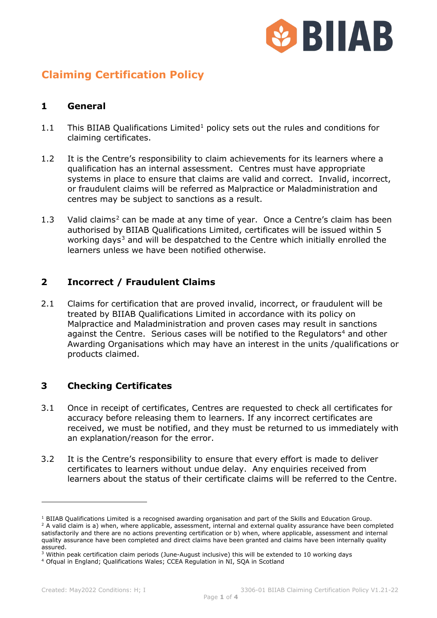

# **Claiming Certification Policy**

### **1 General**

- [1](#page-0-0).1 This BIIAB Qualifications Limited<sup>1</sup> policy sets out the rules and conditions for claiming certificates.
- 1.2 It is the Centre's responsibility to claim achievements for its learners where a qualification has an internal assessment. Centres must have appropriate systems in place to ensure that claims are valid and correct. Invalid, incorrect, or fraudulent claims will be referred as Malpractice or Maladministration and centres may be subject to sanctions as a result.
- 1.3 Valid claims<sup>[2](#page-0-1)</sup> can be made at any time of year. Once a Centre's claim has been authorised by BIIAB Qualifications Limited, certificates will be issued within 5 working days<sup>[3](#page-0-2)</sup> and will be despatched to the Centre which initially enrolled the learners unless we have been notified otherwise.

## **2 Incorrect / Fraudulent Claims**

2.1 Claims for certification that are proved invalid, incorrect, or fraudulent will be treated by BIIAB Qualifications Limited in accordance with its policy on Malpractice and Maladministration and proven cases may result in sanctions against the Centre. Serious cases will be notified to the Regulators<sup>[4](#page-0-3)</sup> and other Awarding Organisations which may have an interest in the units /qualifications or products claimed.

## **3 Checking Certificates**

- 3.1 Once in receipt of certificates, Centres are requested to check all certificates for accuracy before releasing them to learners. If any incorrect certificates are received, we must be notified, and they must be returned to us immediately with an explanation/reason for the error.
- 3.2 It is the Centre's responsibility to ensure that every effort is made to deliver certificates to learners without undue delay. Any enquiries received from learners about the status of their certificate claims will be referred to the Centre.

<span id="page-0-1"></span><span id="page-0-0"></span><sup>&</sup>lt;sup>1</sup> BIIAB Qualifications Limited is a recognised awarding organisation and part of the Skills and Education Group.<br><sup>2</sup> A valid claim is a) when, where applicable, assessment, internal and external quality assurance have b satisfactorily and there are no actions preventing certification or b) when, where applicable, assessment and internal quality assurance have been completed and direct claims have been granted and claims have been internally quality assured.

<span id="page-0-2"></span><sup>&</sup>lt;sup>3</sup> Within peak certification claim periods (June-August inclusive) this will be extended to 10 working days  $4$  Ofqual in England; Qualifications Wales; CCEA Regulation in NI, SQA in Scotland

<span id="page-0-3"></span>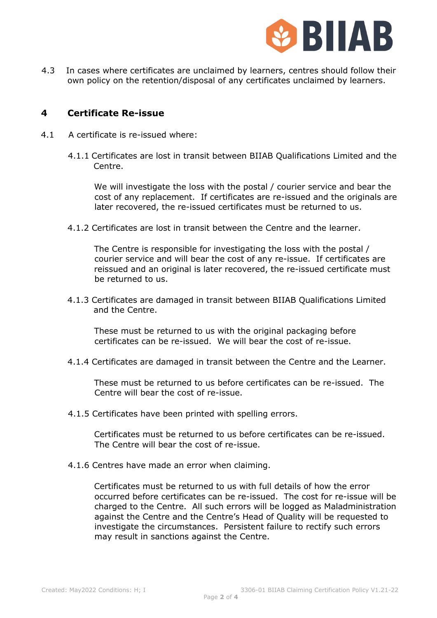

4.3 In cases where certificates are unclaimed by learners, centres should follow their own policy on the retention/disposal of any certificates unclaimed by learners.

#### **4 Certificate Re-issue**

- 4.1 A certificate is re-issued where:
	- 4.1.1 Certificates are lost in transit between BIIAB Qualifications Limited and the Centre.

We will investigate the loss with the postal / courier service and bear the cost of any replacement. If certificates are re-issued and the originals are later recovered, the re-issued certificates must be returned to us.

4.1.2 Certificates are lost in transit between the Centre and the learner.

The Centre is responsible for investigating the loss with the postal / courier service and will bear the cost of any re-issue. If certificates are reissued and an original is later recovered, the re-issued certificate must be returned to us.

4.1.3 Certificates are damaged in transit between BIIAB Qualifications Limited and the Centre.

These must be returned to us with the original packaging before certificates can be re-issued. We will bear the cost of re-issue.

4.1.4 Certificates are damaged in transit between the Centre and the Learner.

These must be returned to us before certificates can be re-issued. The Centre will bear the cost of re-issue.

4.1.5 Certificates have been printed with spelling errors.

Certificates must be returned to us before certificates can be re-issued. The Centre will bear the cost of re-issue.

4.1.6 Centres have made an error when claiming.

Certificates must be returned to us with full details of how the error occurred before certificates can be re-issued. The cost for re-issue will be charged to the Centre. All such errors will be logged as Maladministration against the Centre and the Centre's Head of Quality will be requested to investigate the circumstances. Persistent failure to rectify such errors may result in sanctions against the Centre.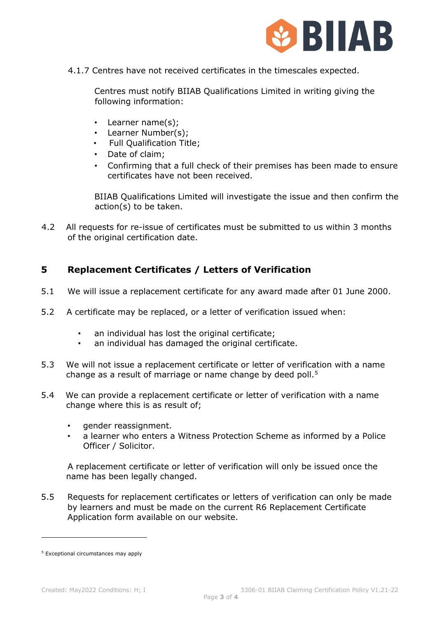

4.1.7 Centres have not received certificates in the timescales expected.

Centres must notify BIIAB Qualifications Limited in writing giving the following information:

- Learner name(s);
- Learner Number(s);
- Full Qualification Title;
- Date of claim;
- Confirming that a full check of their premises has been made to ensure certificates have not been received.

BIIAB Qualifications Limited will investigate the issue and then confirm the action(s) to be taken.

4.2 All requests for re-issue of certificates must be submitted to us within 3 months of the original certification date.

## **5 Replacement Certificates / Letters of Verification**

- 5.1 We will issue a replacement certificate for any award made after 01 June 2000.
- 5.2 A certificate may be replaced, or a letter of verification issued when:
	- an individual has lost the original certificate;
	- an individual has damaged the original certificate.
- 5.3 We will not issue a replacement certificate or letter of verification with a name change as a result of marriage or name change by deed poll.<sup>[5](#page-2-0)</sup>
- 5.4 We can provide a replacement certificate or letter of verification with a name change where this is as result of;
	- gender reassignment.
	- a learner who enters a Witness Protection Scheme as informed by a Police Officer / Solicitor.

A replacement certificate or letter of verification will only be issued once the name has been legally changed.

5.5 Requests for replacement certificates or letters of verification can only be made by learners and must be made on the current R6 Replacement Certificate Application form available on our website.

<span id="page-2-0"></span><sup>5</sup> Exceptional circumstances may apply